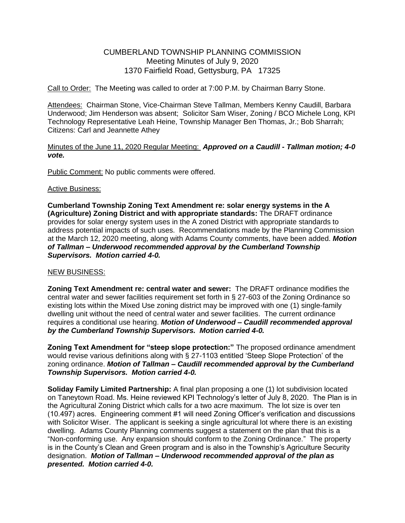# CUMBERLAND TOWNSHIP PLANNING COMMISSION Meeting Minutes of July 9, 2020 1370 Fairfield Road, Gettysburg, PA 17325

Call to Order: The Meeting was called to order at 7:00 P.M. by Chairman Barry Stone.

Attendees: Chairman Stone, Vice-Chairman Steve Tallman, Members Kenny Caudill, Barbara Underwood; Jim Henderson was absent; Solicitor Sam Wiser, Zoning / BCO Michele Long, KPI Technology Representative Leah Heine, Township Manager Ben Thomas, Jr.; Bob Sharrah; Citizens: Carl and Jeannette Athey

## Minutes of the June 11, 2020 Regular Meeting: *Approved on a Caudill - Tallman motion; 4-0 vote.*

Public Comment: No public comments were offered.

#### Active Business:

**Cumberland Township Zoning Text Amendment re: solar energy systems in the A (Agriculture) Zoning District and with appropriate standards:** The DRAFT ordinance provides for solar energy system uses in the A zoned District with appropriate standards to address potential impacts of such uses. Recommendations made by the Planning Commission at the March 12, 2020 meeting, along with Adams County comments, have been added. *Motion of Tallman – Underwood recommended approval by the Cumberland Township Supervisors. Motion carried 4-0.* 

#### NEW BUSINESS:

**Zoning Text Amendment re: central water and sewer:** The DRAFT ordinance modifies the central water and sewer facilities requirement set forth in § 27-603 of the Zoning Ordinance so existing lots within the Mixed Use zoning district may be improved with one (1) single-family dwelling unit without the need of central water and sewer facilities. The current ordinance requires a conditional use hearing. *Motion of Underwood – Caudill recommended approval by the Cumberland Township Supervisors. Motion carried 4-0.* 

**Zoning Text Amendment for "steep slope protection:"** The proposed ordinance amendment would revise various definitions along with § 27-1103 entitled 'Steep Slope Protection' of the zoning ordinance. *Motion of Tallman – Caudill recommended approval by the Cumberland Township Supervisors. Motion carried 4-0.* 

**Soliday Family Limited Partnership:** A final plan proposing a one (1) lot subdivision located on Taneytown Road. Ms. Heine reviewed KPI Technology's letter of July 8, 2020. The Plan is in the Agricultural Zoning District which calls for a two acre maximum. The lot size is over ten (10.497) acres. Engineering comment #1 will need Zoning Officer's verification and discussions with Solicitor Wiser. The applicant is seeking a single agricultural lot where there is an existing dwelling. Adams County Planning comments suggest a statement on the plan that this is a "Non-conforming use. Any expansion should conform to the Zoning Ordinance." The property is in the County's Clean and Green program and is also in the Township's Agriculture Security designation. *Motion of Tallman – Underwood recommended approval of the plan as presented. Motion carried 4-0.*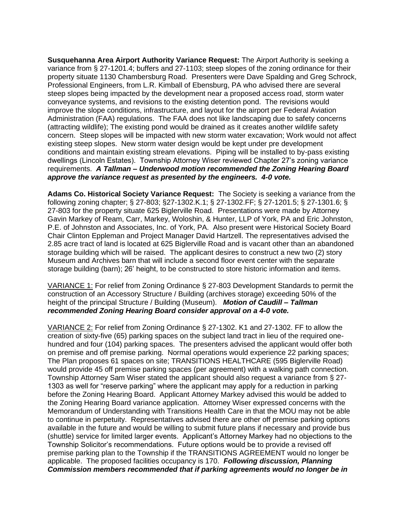**Susquehanna Area Airport Authority Variance Request:** The Airport Authority is seeking a variance from § 27-1201.4; buffers and 27-1103; steep slopes of the zoning ordinance for their property situate 1130 Chambersburg Road. Presenters were Dave Spalding and Greg Schrock, Professional Engineers, from L.R. Kimball of Ebensburg, PA who advised there are several steep slopes being impacted by the development near a proposed access road, storm water conveyance systems, and revisions to the existing detention pond. The revisions would improve the slope conditions, infrastructure, and layout for the airport per Federal Aviation Administration (FAA) regulations. The FAA does not like landscaping due to safety concerns (attracting wildlife); The existing pond would be drained as it creates another wildlife safety concern. Steep slopes will be impacted with new storm water excavation; Work would not affect existing steep slopes. New storm water design would be kept under pre development conditions and maintain existing stream elevations. Piping will be installed to by-pass existing dwellings (Lincoln Estates). Township Attorney Wiser reviewed Chapter 27's zoning variance requirements. *A Tallman – Underwood motion recommended the Zoning Hearing Board approve the variance request as presented by the engineers. 4-0 vote.*

**Adams Co. Historical Society Variance Request:** The Society is seeking a variance from the following zoning chapter; § 27-803; §27-1302.K.1; § 27-1302.FF; § 27-1201.5; § 27-1301.6; § 27-803 for the property situate 625 Biglerville Road. Presentations were made by Attorney Gavin Markey of Ream, Carr, Markey, Woloshin, & Hunter, LLP of York, PA and Eric Johnston, P.E. of Johnston and Associates, Inc. of York, PA. Also present were Historical Society Board Chair Clinton Eppleman and Project Manager David Hartzell. The representatives advised the 2.85 acre tract of land is located at 625 Biglerville Road and is vacant other than an abandoned storage building which will be raised. The applicant desires to construct a new two (2) story Museum and Archives barn that will include a second floor event center with the separate storage building (barn); 26' height, to be constructed to store historic information and items.

VARIANCE 1: For relief from Zoning Ordinance § 27-803 Development Standards to permit the construction of an Accessory Structure / Building (archives storage) exceeding 50% of the height of the principal Structure / Building (Museum). *Motion of Caudill – Tallman recommended Zoning Hearing Board consider approval on a 4-0 vote.* 

VARIANCE 2: For relief from Zoning Ordinance § 27-1302. K1 and 27-1302. FF to allow the creation of sixty-five (65) parking spaces on the subject land tract in lieu of the required onehundred and four (104) parking spaces. The presenters advised the applicant would offer both on premise and off premise parking. Normal operations would experience 22 parking spaces; The Plan proposes 61 spaces on site; TRANSITIONS HEALTHCARE (595 Biglerville Road) would provide 45 off premise parking spaces (per agreement) with a walking path connection. Township Attorney Sam Wiser stated the applicant should also request a variance from § 27- 1303 as well for "reserve parking" where the applicant may apply for a reduction in parking before the Zoning Hearing Board. Applicant Attorney Markey advised this would be added to the Zoning Hearing Board variance application. Attorney Wiser expressed concerns with the Memorandum of Understanding with Transitions Health Care in that the MOU may not be able to continue in perpetuity. Representatives advised there are other off premise parking options available in the future and would be willing to submit future plans if necessary and provide bus (shuttle) service for limited larger events. Applicant's Attorney Markey had no objections to the Township Solicitor's recommendations. Future options would be to provide a revised off premise parking plan to the Township if the TRANSITIONS AGREEMENT would no longer be applicable. The proposed facilities occupancy is 170. *Following discussion, Planning Commission members recommended that if parking agreements would no longer be in*